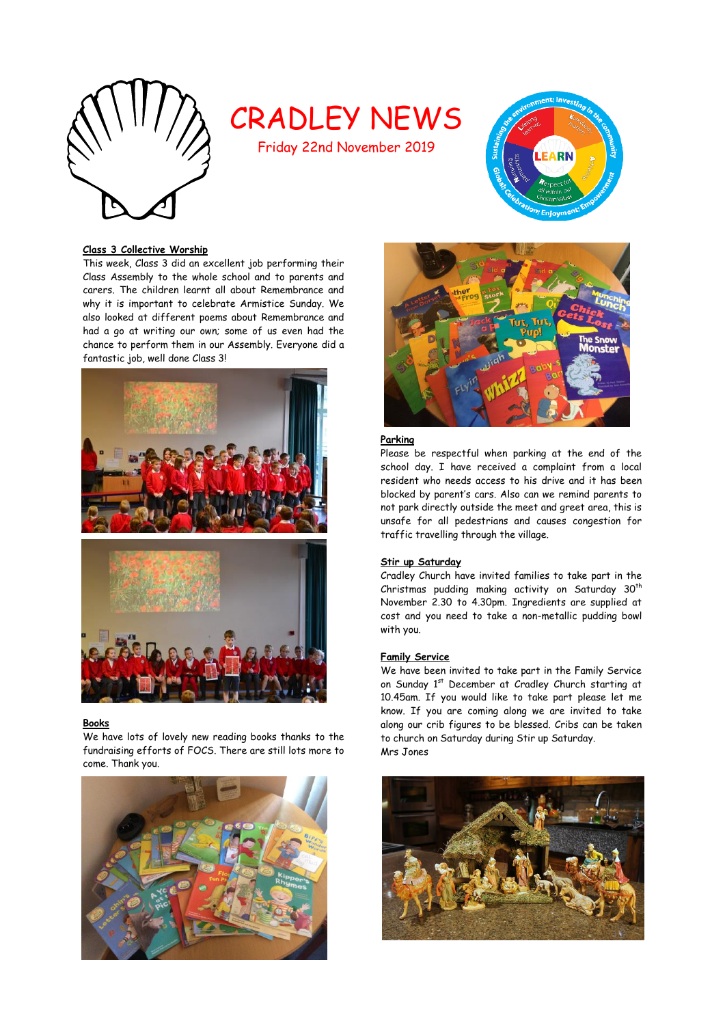

# CRADLEY NEWS

Friday 22nd November 2019



# **Class 3 Collective Worship**

This week, Class 3 did an excellent job performing their Class Assembly to the whole school and to parents and carers. The children learnt all about Remembrance and why it is important to celebrate Armistice Sunday. We also looked at different poems about Remembrance and had a go at writing our own; some of us even had the chance to perform them in our Assembly. Everyone did a fantastic job, well done Class 3!



#### **Books**

We have lots of lovely new reading books thanks to the fundraising efforts of FOCS. There are still lots more to come. Thank you.





# **Parking**

Please be respectful when parking at the end of the school day. I have received a complaint from a local resident who needs access to his drive and it has been blocked by parent's cars. Also can we remind parents to not park directly outside the meet and greet area, this is unsafe for all pedestrians and causes congestion for traffic travelling through the village.

# **Stir up Saturday**

Cradley Church have invited families to take part in the Christmas pudding making activity on Saturday 30<sup>th</sup> November 2.30 to 4.30pm. Ingredients are supplied at cost and you need to take a non-metallic pudding bowl with you.

#### **Family Service**

We have been invited to take part in the Family Service on Sunday 1st December at Cradley Church starting at 10.45am. If you would like to take part please let me know. If you are coming along we are invited to take along our crib figures to be blessed. Cribs can be taken to church on Saturday during Stir up Saturday. Mrs Jones

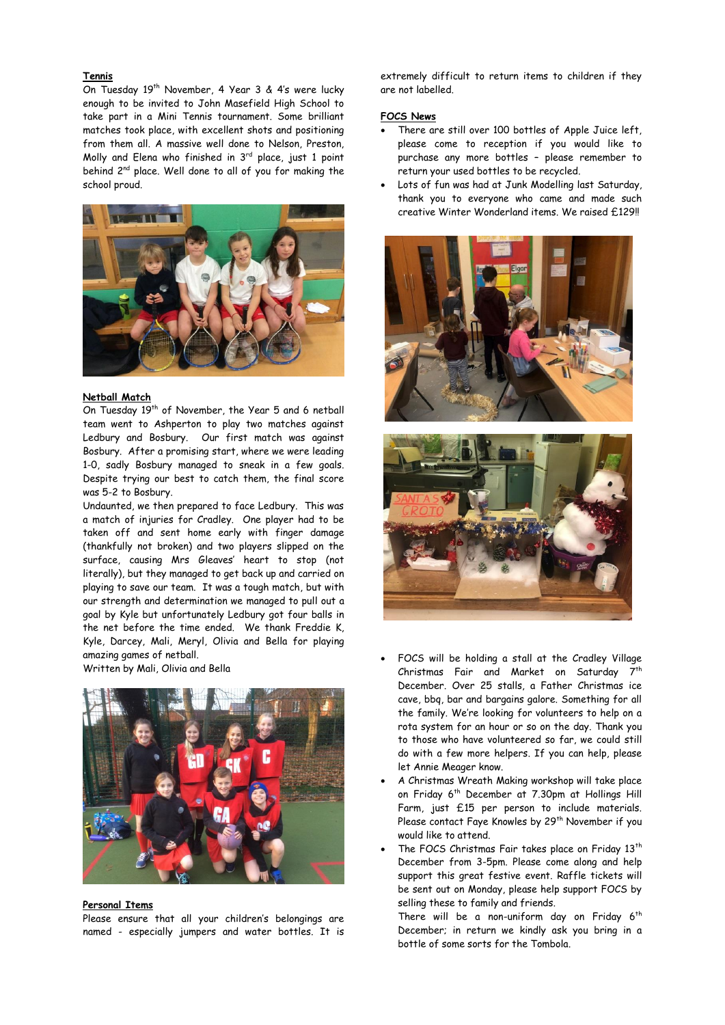## **Tennis**

On Tuesday 19<sup>th</sup> November, 4 Year 3 & 4's were lucky enough to be invited to John Masefield High School to take part in a Mini Tennis tournament. Some brilliant matches took place, with excellent shots and positioning from them all. A massive well done to Nelson, Preston, Molly and Elena who finished in  $3<sup>rd</sup>$  place, just 1 point behind 2<sup>nd</sup> place. Well done to all of you for making the school proud.



# **Netball Match**

On Tuesday 19th of November, the Year 5 and 6 netball team went to Ashperton to play two matches against Ledbury and Bosbury. Our first match was against Bosbury. After a promising start, where we were leading 1-0, sadly Bosbury managed to sneak in a few goals. Despite trying our best to catch them, the final score was 5-2 to Bosbury.

Undaunted, we then prepared to face Ledbury. This was a match of injuries for Cradley. One player had to be taken off and sent home early with finger damage (thankfully not broken) and two players slipped on the surface, causing Mrs Gleaves' heart to stop (not literally), but they managed to get back up and carried on playing to save our team. It was a tough match, but with our strength and determination we managed to pull out a goal by Kyle but unfortunately Ledbury got four balls in the net before the time ended. We thank Freddie K, Kyle, Darcey, Mali, Meryl, Olivia and Bella for playing amazing games of netball.

Written by Mali, Olivia and Bella



### **Personal Items**

Please ensure that all your children's belongings are named - especially jumpers and water bottles. It is extremely difficult to return items to children if they are not labelled.

# **FOCS News**

- There are still over 100 bottles of Apple Juice left, please come to reception if you would like to purchase any more bottles – please remember to return your used bottles to be recycled.
- Lots of fun was had at Junk Modelling last Saturday, thank you to everyone who came and made such creative Winter Wonderland items. We raised £129!!





- FOCS will be holding a stall at the Cradley Village Christmas Fair and Market on Saturday 7<sup>th</sup> December. Over 25 stalls, a Father Christmas ice cave, bbq, bar and bargains galore. Something for all the family. We're looking for volunteers to help on a rota system for an hour or so on the day. Thank you to those who have volunteered so far, we could still do with a few more helpers. If you can help, please let Annie Meager know.
- A Christmas Wreath Making workshop will take place on Friday 6<sup>th</sup> December at 7.30pm at Hollings Hill Farm, just £15 per person to include materials. Please contact Faye Knowles by 29<sup>th</sup> November if you would like to attend.
- The FOCS Christmas Fair takes place on Friday 13<sup>th</sup> December from 3-5pm. Please come along and help support this great festive event. Raffle tickets will be sent out on Monday, please help support FOCS by selling these to family and friends.

There will be a non-uniform day on Friday  $6<sup>th</sup>$ December; in return we kindly ask you bring in a bottle of some sorts for the Tombola.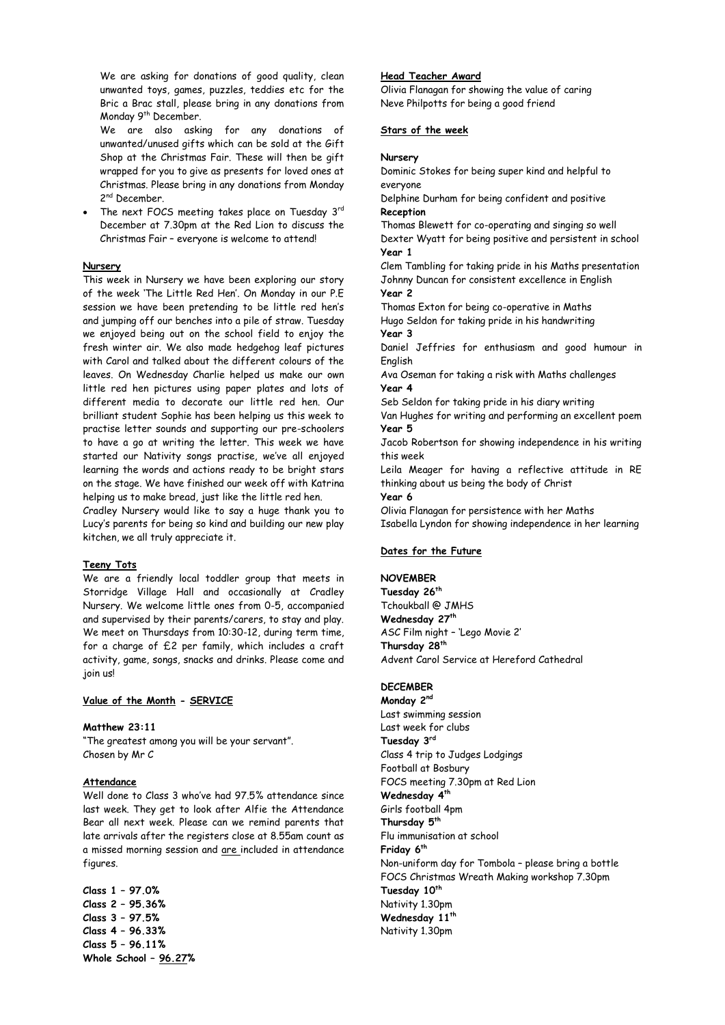We are asking for donations of good quality, clean unwanted toys, games, puzzles, teddies etc for the Bric a Brac stall, please bring in any donations from Monday 9<sup>th</sup> December.

We are also asking for any donations of unwanted/unused gifts which can be sold at the Gift Shop at the Christmas Fair. These will then be gift wrapped for you to give as presents for loved ones at Christmas. Please bring in any donations from Monday 2<sup>nd</sup> December.

• The next FOCS meeting takes place on Tuesday  $3^{rd}$ December at 7.30pm at the Red Lion to discuss the Christmas Fair – everyone is welcome to attend!

## **Nursery**

This week in Nursery we have been exploring our story of the week 'The Little Red Hen'. On Monday in our P.E session we have been pretending to be little red hen's and jumping off our benches into a pile of straw. Tuesday we enjoyed being out on the school field to enjoy the fresh winter air. We also made hedgehog leaf pictures with Carol and talked about the different colours of the leaves. On Wednesday Charlie helped us make our own little red hen pictures using paper plates and lots of different media to decorate our little red hen. Our brilliant student Sophie has been helping us this week to practise letter sounds and supporting our pre-schoolers to have a go at writing the letter. This week we have started our Nativity songs practise, we've all enjoyed learning the words and actions ready to be bright stars on the stage. We have finished our week off with Katrina helping us to make bread, just like the little red hen.

Cradley Nursery would like to say a huge thank you to Lucy's parents for being so kind and building our new play kitchen, we all truly appreciate it.

#### **Teeny Tots**

We are a friendly local toddler group that meets in Storridge Village Hall and occasionally at Cradley Nursery. We welcome little ones from 0-5, accompanied and supervised by their parents/carers, to stay and play. We meet on Thursdays from 10:30-12, during term time, for a charge of £2 per family, which includes a craft activity, game, songs, snacks and drinks. Please come and join us!

#### **Value of the Month - SERVICE**

## **Matthew 23:11**

"The greatest among you will be your servant". Chosen by Mr C

#### **Attendance**

Well done to Class 3 who've had 97.5% attendance since last week. They get to look after Alfie the Attendance Bear all next week. Please can we remind parents that late arrivals after the registers close at 8.55am count as a missed morning session and are included in attendance figures.

**Class 1 – 97.0% Class 2 – 95.36% Class 3 – 97.5% Class 4 – 96.33% Class 5 – 96.11% Whole School – 96.27%**

## **Head Teacher Award**

Olivia Flanagan for showing the value of caring Neve Philpotts for being a good friend

# **Stars of the week**

#### **Nursery**

Dominic Stokes for being super kind and helpful to everyone

Delphine Durham for being confident and positive **Reception**

Thomas Blewett for co-operating and singing so well Dexter Wyatt for being positive and persistent in school **Year 1** 

Clem Tambling for taking pride in his Maths presentation Johnny Duncan for consistent excellence in English **Year 2**

Thomas Exton for being co-operative in Maths Hugo Seldon for taking pride in his handwriting **Year 3**

Daniel Jeffries for enthusiasm and good humour in English

Ava Oseman for taking a risk with Maths challenges **Year 4**

Seb Seldon for taking pride in his diary writing

Van Hughes for writing and performing an excellent poem **Year 5**

Jacob Robertson for showing independence in his writing this week

Leila Meager for having a reflective attitude in RE thinking about us being the body of Christ

**Year 6**

Olivia Flanagan for persistence with her Maths Isabella Lyndon for showing independence in her learning

# **Dates for the Future**

## **NOVEMBER**

**Tuesday 26th** Tchoukball @ JMHS **Wednesday 27th** ASC Film night – 'Lego Movie 2' **Thursday 28th** Advent Carol Service at Hereford Cathedral

# **DECEMBER**

**Monday 2nd** Last swimming session Last week for clubs **Tuesday 3rd** Class 4 trip to Judges Lodgings Football at Bosbury FOCS meeting 7.30pm at Red Lion **Wednesday 4th** Girls football 4pm **Thursday 5th** Flu immunisation at school **Friday 6th** Non-uniform day for Tombola – please bring a bottle FOCS Christmas Wreath Making workshop 7.30pm **Tuesday 10th** Nativity 1.30pm **Wednesday 11th** Nativity 1.30pm